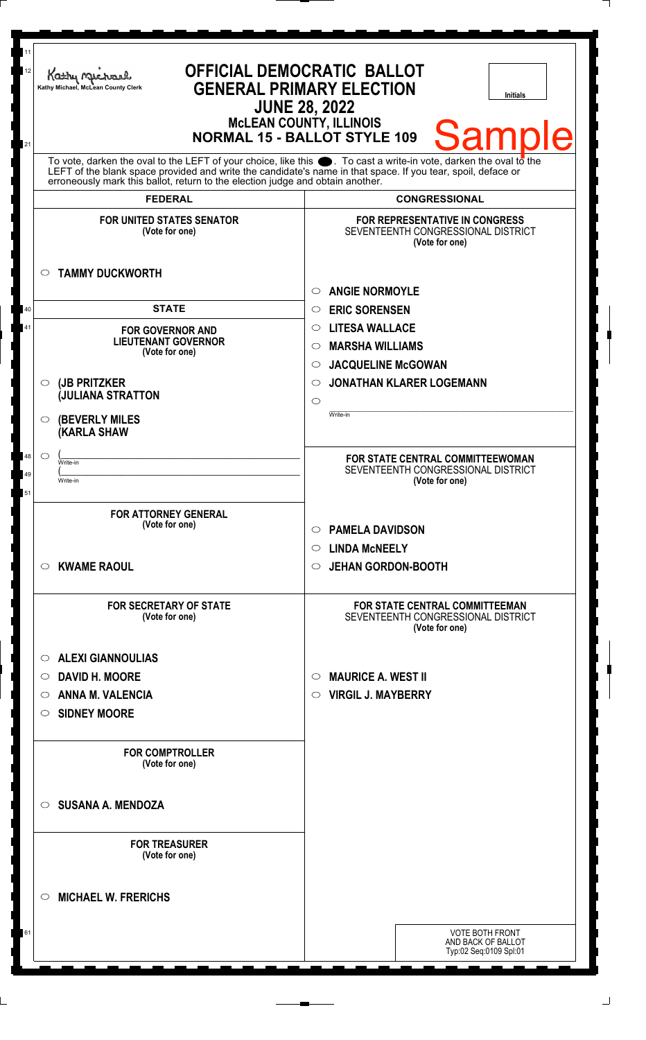| 11<br>12 | Kathy Macharel<br>Kathy Michael, McLean County Clerk                                                                                                                                                                                                                                                                         | <b>OFFICIAL DEMOCRATIC BALLOT</b><br><b>GENERAL PRIMARY ELECTION</b><br><b>Initials</b><br><b>JUNE 28, 2022</b><br><b>McLEAN COUNTY, ILLINOIS</b> |  |
|----------|------------------------------------------------------------------------------------------------------------------------------------------------------------------------------------------------------------------------------------------------------------------------------------------------------------------------------|---------------------------------------------------------------------------------------------------------------------------------------------------|--|
| 21       | <b>Sample</b><br><b>NORMAL 15 - BALLOT STYLE 109</b>                                                                                                                                                                                                                                                                         |                                                                                                                                                   |  |
|          | To vote, darken the oval to the LEFT of your choice, like this $\bullet$ . To cast a write-in vote, darken the oval to the<br>LEFT of the blank space provided and write the candidate's name in that space. If you tear, spoil, deface or<br>erroneously mark this ballot, return to the election judge and obtain another. |                                                                                                                                                   |  |
|          | <b>FEDERAL</b>                                                                                                                                                                                                                                                                                                               | <b>CONGRESSIONAL</b>                                                                                                                              |  |
|          | <b>FOR UNITED STATES SENATOR</b><br>(Vote for one)                                                                                                                                                                                                                                                                           | <b>FOR REPRESENTATIVE IN CONGRESS</b><br>SEVENTEENTH CONGRESSIONAL DISTRICT<br>(Vote for one)                                                     |  |
|          | <b>TAMMY DUCKWORTH</b><br>$\circ$                                                                                                                                                                                                                                                                                            | <b>ANGIE NORMOYLE</b><br>$\bigcirc$                                                                                                               |  |
| 40       | <b>STATE</b>                                                                                                                                                                                                                                                                                                                 | <b>ERIC SORENSEN</b><br>$\bigcirc$                                                                                                                |  |
| 41       | <b>FOR GOVERNOR AND</b>                                                                                                                                                                                                                                                                                                      | <b>LITESA WALLACE</b><br>$\circ$                                                                                                                  |  |
|          | <b>LIEUTENANT GOVERNOR</b><br>(Vote for one)                                                                                                                                                                                                                                                                                 | <b>MARSHA WILLIAMS</b><br>$\circ$                                                                                                                 |  |
|          |                                                                                                                                                                                                                                                                                                                              | <b>JACQUELINE McGOWAN</b><br>$\circ$                                                                                                              |  |
|          | (JB PRITZKER<br>$\circ$                                                                                                                                                                                                                                                                                                      | <b>JONATHAN KLARER LOGEMANN</b><br>$\circlearrowright$                                                                                            |  |
|          | <b>JULIANA STRATTON</b>                                                                                                                                                                                                                                                                                                      | $\circ$                                                                                                                                           |  |
|          |                                                                                                                                                                                                                                                                                                                              | Write-in                                                                                                                                          |  |
|          | <b>(BEVERLY MILES</b><br>$\circ$<br><b>(KARLA SHAW</b>                                                                                                                                                                                                                                                                       |                                                                                                                                                   |  |
| 48       | $\circ$<br>Write-in                                                                                                                                                                                                                                                                                                          | FOR STATE CENTRAL COMMITTEEWOMAN                                                                                                                  |  |
| 49<br>51 | Write-in                                                                                                                                                                                                                                                                                                                     | SEVENTEENTH CONGRESSIONAL DISTRICT<br>(Vote for one)                                                                                              |  |
|          | <b>FOR ATTORNEY GENERAL</b><br>(Vote for one)                                                                                                                                                                                                                                                                                | <b>PAMELA DAVIDSON</b><br>$\circ$                                                                                                                 |  |
|          |                                                                                                                                                                                                                                                                                                                              |                                                                                                                                                   |  |
|          |                                                                                                                                                                                                                                                                                                                              | <b>LINDA MCNEELY</b><br>$\circ$                                                                                                                   |  |
|          | <b>KWAME RAOUL</b><br>$\circ$                                                                                                                                                                                                                                                                                                | <b>JEHAN GORDON-BOOTH</b><br>O                                                                                                                    |  |
|          | <b>FOR SECRETARY OF STATE</b><br>(Vote for one)                                                                                                                                                                                                                                                                              | <b>FOR STATE CENTRAL COMMITTEEMAN</b><br>SEVENTEENTH CONGRESSIONAL DISTRICT<br>(Vote for one)                                                     |  |
|          | <b>ALEXI GIANNOULIAS</b><br>$\circ$                                                                                                                                                                                                                                                                                          |                                                                                                                                                   |  |
|          | <b>DAVID H. MOORE</b><br>$\circ$                                                                                                                                                                                                                                                                                             | <b>MAURICE A. WEST II</b><br>O                                                                                                                    |  |
|          | <b>ANNA M. VALENCIA</b><br>O                                                                                                                                                                                                                                                                                                 | <b>VIRGIL J. MAYBERRY</b><br>$\circ$                                                                                                              |  |
|          | <b>SIDNEY MOORE</b><br>$\circ$                                                                                                                                                                                                                                                                                               |                                                                                                                                                   |  |
|          |                                                                                                                                                                                                                                                                                                                              |                                                                                                                                                   |  |
|          | <b>FOR COMPTROLLER</b><br>(Vote for one)                                                                                                                                                                                                                                                                                     |                                                                                                                                                   |  |
|          | <b>SUSANA A. MENDOZA</b><br>$\circ$                                                                                                                                                                                                                                                                                          |                                                                                                                                                   |  |
|          | <b>FOR TREASURER</b><br>(Vote for one)                                                                                                                                                                                                                                                                                       |                                                                                                                                                   |  |
|          | <b>MICHAEL W. FRERICHS</b><br>$\circlearrowright$                                                                                                                                                                                                                                                                            |                                                                                                                                                   |  |
| 61       |                                                                                                                                                                                                                                                                                                                              | <b>VOTE BOTH FRONT</b><br>AND BACK OF BALLOT<br>Typ:02 Seq:0109 Spl:01                                                                            |  |
|          |                                                                                                                                                                                                                                                                                                                              |                                                                                                                                                   |  |